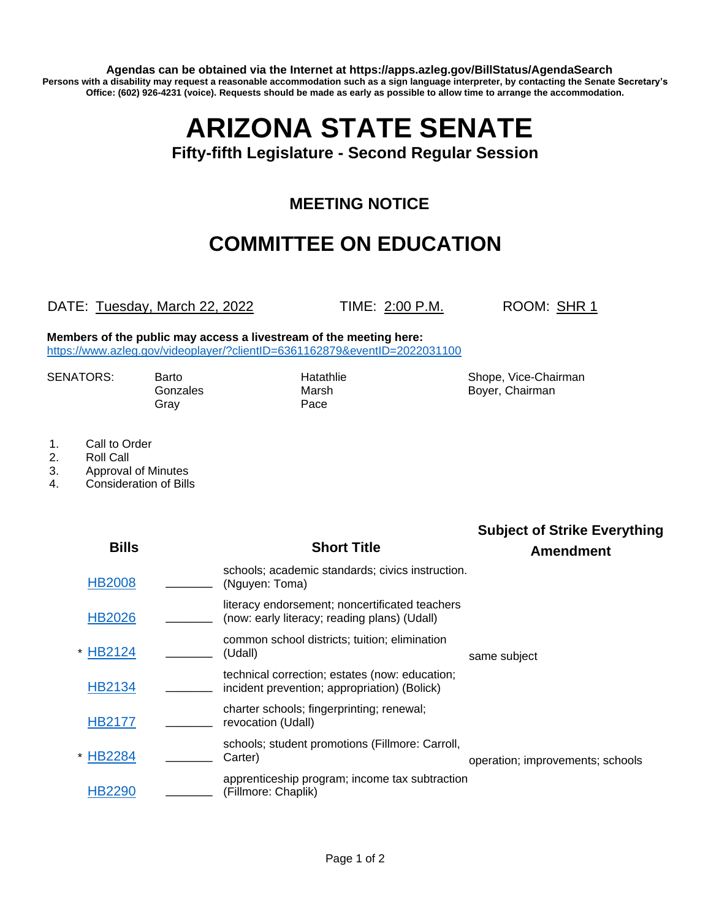**Agendas can be obtained via the Internet at https://apps.azleg.gov/BillStatus/AgendaSearch Persons with a disability may request a reasonable accommodation such as a sign language interpreter, by contacting the Senate Secretary's Office: (602) 926-4231 (voice). Requests should be made as early as possible to allow time to arrange the accommodation.**

# **ARIZONA STATE SENATE**

#### **Fifty-fifth Legislature - Second Regular Session**

### **MEETING NOTICE**

## **COMMITTEE ON EDUCATION**

#### DATE: Tuesday, March 22, 2022 TIME: 2:00 P.M. ROOM: SHR 1

**Members of the public may access a livestream of the meeting here:**  <https://www.azleg.gov/videoplayer/?clientID=6361162879&eventID=2022031100>

Gonzales Marsh Boyer, Chairman Gray

SENATORS: Barto Hatathlie Shope, Vice-Chairman

- 1. Call to Order
- 2. Roll Call
- 3. Approval of Minutes
- 4. Consideration of Bills

| <b>Bills</b>             | <b>Short Title</b>                                                                             | <b>Subject of Strike Everything</b><br><b>Amendment</b> |
|--------------------------|------------------------------------------------------------------------------------------------|---------------------------------------------------------|
| <b>HB2008</b>            | schools; academic standards; civics instruction.<br>(Nguyen: Toma)                             |                                                         |
| <b>HB2026</b>            | literacy endorsement; noncertificated teachers<br>(now: early literacy; reading plans) (Udall) |                                                         |
| HB2124<br>(Udall)        | common school districts; tuition; elimination                                                  | same subject                                            |
| HB2134                   | technical correction; estates (now: education;<br>incident prevention; appropriation) (Bolick) |                                                         |
| <b>HB2177</b>            | charter schools; fingerprinting; renewal;<br>revocation (Udall)                                |                                                         |
| <b>HB2284</b><br>Carter) | schools; student promotions (Fillmore: Carroll,                                                | operation; improvements; schools                        |
| HB2290                   | apprenticeship program; income tax subtraction<br>(Fillmore: Chaplik)                          |                                                         |